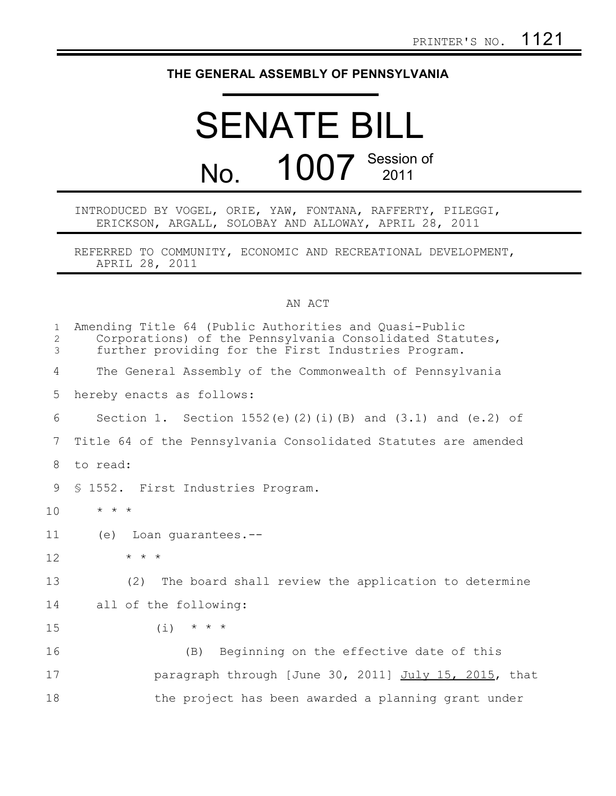## **THE GENERAL ASSEMBLY OF PENNSYLVANIA**

## SENATE BILL No. 1007 Session of

INTRODUCED BY VOGEL, ORIE, YAW, FONTANA, RAFFERTY, PILEGGI, ERICKSON, ARGALL, SOLOBAY AND ALLOWAY, APRIL 28, 2011

REFERRED TO COMMUNITY, ECONOMIC AND RECREATIONAL DEVELOPMENT, APRIL 28, 2011

## AN ACT

| $\mathbf{1}$<br>$\mathbf{2}$<br>3 | Amending Title 64 (Public Authorities and Quasi-Public<br>Corporations) of the Pennsylvania Consolidated Statutes,<br>further providing for the First Industries Program. |
|-----------------------------------|---------------------------------------------------------------------------------------------------------------------------------------------------------------------------|
| 4                                 | The General Assembly of the Commonwealth of Pennsylvania                                                                                                                  |
| 5                                 | hereby enacts as follows:                                                                                                                                                 |
| 6                                 | Section 1. Section 1552(e)(2)(i)(B) and (3.1) and (e.2) of                                                                                                                |
| 7                                 | Title 64 of the Pennsylvania Consolidated Statutes are amended                                                                                                            |
| 8                                 | to read:                                                                                                                                                                  |
| 9                                 | § 1552. First Industries Program.                                                                                                                                         |
| 10                                | $\star$ $\star$ $\star$                                                                                                                                                   |
| 11                                | Loan quarantees.--<br>(e)                                                                                                                                                 |
| 12                                | $\star$ $\star$ $\star$                                                                                                                                                   |
| 13                                | (2)<br>The board shall review the application to determine                                                                                                                |
| 14                                | all of the following:                                                                                                                                                     |
| 15                                | $(i)$ * * *                                                                                                                                                               |
| 16                                | Beginning on the effective date of this<br>(B)                                                                                                                            |
| 17                                | paragraph through [June 30, 2011] July 15, 2015, that                                                                                                                     |
| 18                                | the project has been awarded a planning grant under                                                                                                                       |